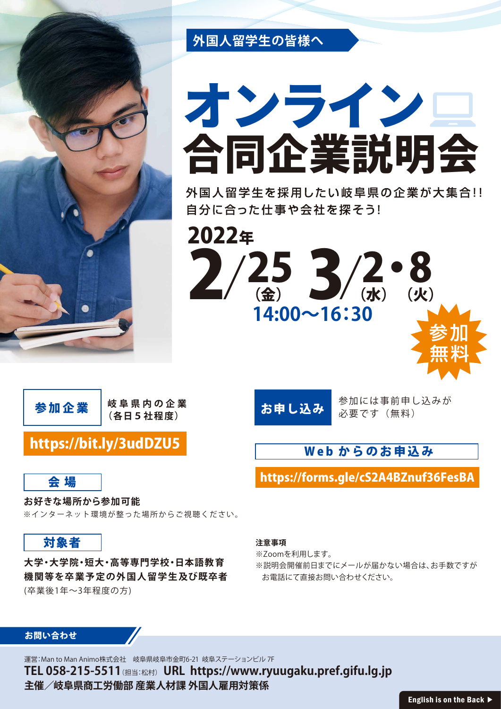

## オンライン 合同企業計開会

**外国人留学生の皆様へ**

自分に合った仕事や会社を探そう!

 $2/25$ <br>(金)  $2/2$ <br>(水) (火) 2022年 (水)(火) **14:00~16:30**



**岐阜県内の企業** 参加企業 <sup>|岐阜県内の企┊</sup>

https://bit.ly/3udDZU5

### 会 場

#### **お好きな場所から参加可能**

※インターネット環境が整った場所からご視聴ください。

#### 対象者

**大学・大学院・短大・高等専門学校・日本語教 育 機関等を卒業予定の外国人留学生及び既卒者** (卒業後1年~3年程度の方)

### お申し込み

参加には事前申し込みが 必要です (無料)

Web からのお申込み

https://forms.gle/cS2A4BZnuf36FesBA

#### **注意事項**

※Zoomを利用します。 ※説明会開催前日までにメールが届かない場合は、お手数ですが お電話にて直接お問い合わせください。

#### お問い合わせ

運営: Man to Man Animo株式会社 岐阜県岐阜市金町6-21 岐阜ステーションビル 7F **TEL 058-215-5511**(担当:松村) **URL https://www.ryuugaku.pref.gifu.lg.jp 主催/岐阜県商工労働部 産業人材課 外国人雇用対策係**